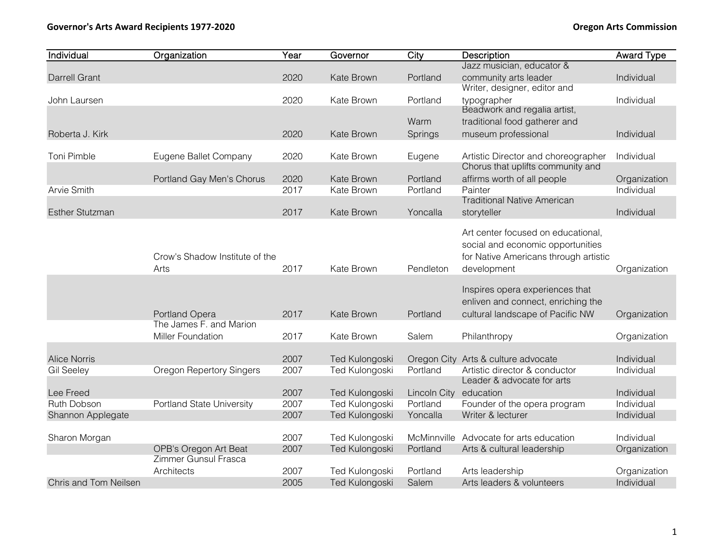| Individual             | Organization                              | Year | Governor              | City                   | Description                             | <b>Award Type</b> |
|------------------------|-------------------------------------------|------|-----------------------|------------------------|-----------------------------------------|-------------------|
|                        |                                           |      |                       |                        | Jazz musician, educator &               |                   |
| <b>Darrell Grant</b>   |                                           | 2020 | Kate Brown            | Portland               | community arts leader                   | Individual        |
|                        |                                           |      |                       |                        | Writer, designer, editor and            |                   |
| John Laursen           |                                           | 2020 | Kate Brown            | Portland               | typographer                             | Individual        |
|                        |                                           |      |                       |                        | Beadwork and regalia artist,            |                   |
|                        |                                           |      |                       | Warm                   | traditional food gatherer and           |                   |
| Roberta J. Kirk        |                                           | 2020 | Kate Brown            | Springs                | museum professional                     | Individual        |
|                        |                                           |      |                       |                        |                                         |                   |
| Toni Pimble            | Eugene Ballet Company                     | 2020 | Kate Brown            | Eugene                 | Artistic Director and choreographer     | Individual        |
|                        |                                           |      |                       |                        | Chorus that uplifts community and       |                   |
|                        | Portland Gay Men's Chorus                 | 2020 | Kate Brown            | Portland               | affirms worth of all people             | Organization      |
| Arvie Smith            |                                           | 2017 | Kate Brown            | Portland               | Painter                                 | Individual        |
|                        |                                           |      |                       |                        | <b>Traditional Native American</b>      |                   |
| <b>Esther Stutzman</b> |                                           | 2017 | Kate Brown            | Yoncalla               | storyteller                             | Individual        |
|                        |                                           |      |                       |                        | Art center focused on educational,      |                   |
|                        |                                           |      |                       |                        | social and economic opportunities       |                   |
|                        |                                           |      |                       |                        |                                         |                   |
|                        | Crow's Shadow Institute of the            |      |                       |                        | for Native Americans through artistic   |                   |
|                        | Arts                                      | 2017 | Kate Brown            | Pendleton              | development                             | Organization      |
|                        |                                           |      |                       |                        | Inspires opera experiences that         |                   |
|                        |                                           |      |                       |                        | enliven and connect, enriching the      |                   |
|                        |                                           |      | Kate Brown            | Portland               |                                         |                   |
|                        | Portland Opera<br>The James F. and Marion | 2017 |                       |                        | cultural landscape of Pacific NW        | Organization      |
|                        | <b>Miller Foundation</b>                  | 2017 |                       | Salem                  |                                         |                   |
|                        |                                           |      | Kate Brown            |                        | Philanthropy                            | Organization      |
| <b>Alice Norris</b>    |                                           | 2007 | Ted Kulongoski        |                        | Oregon City Arts & culture advocate     | Individual        |
| <b>Gil Seeley</b>      | <b>Oregon Repertory Singers</b>           | 2007 | Ted Kulongoski        | Portland               | Artistic director & conductor           | Individual        |
|                        |                                           |      |                       |                        | Leader & advocate for arts              |                   |
| Lee Freed              |                                           | 2007 | Ted Kulongoski        | Lincoln City education |                                         | Individual        |
| Ruth Dobson            | <b>Portland State University</b>          | 2007 | Ted Kulongoski        | Portland               | Founder of the opera program            | Individual        |
| Shannon Applegate      |                                           | 2007 | Ted Kulongoski        | Yoncalla               | Writer & lecturer                       | Individual        |
|                        |                                           |      |                       |                        |                                         |                   |
| Sharon Morgan          |                                           | 2007 | Ted Kulongoski        |                        | McMinnville Advocate for arts education | Individual        |
|                        | OPB's Oregon Art Beat                     | 2007 | Ted Kulongoski        | Portland               | Arts & cultural leadership              | Organization      |
|                        | Zimmer Gunsul Frasca                      |      |                       |                        |                                         |                   |
|                        | Architects                                | 2007 | Ted Kulongoski        | Portland               | Arts leadership                         | Organization      |
| Chris and Tom Neilsen  |                                           | 2005 | <b>Ted Kulongoski</b> | Salem                  | Arts leaders & volunteers               | Individual        |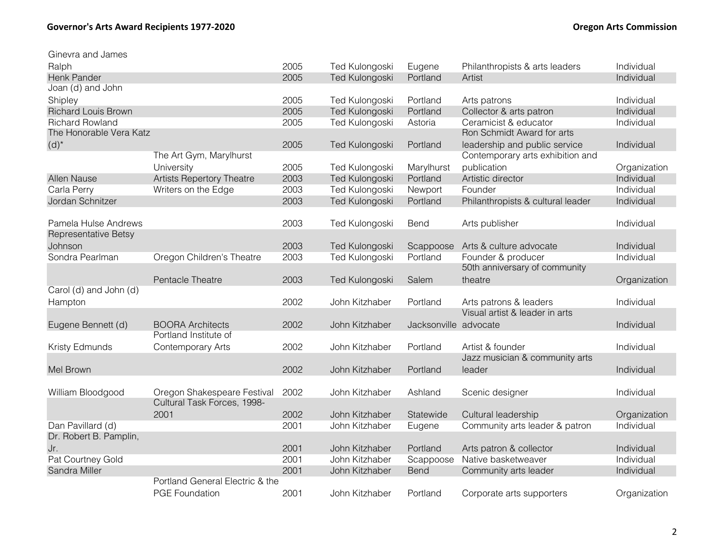| Ginevra and James          |                                  |      |                       |                       |                                   |              |
|----------------------------|----------------------------------|------|-----------------------|-----------------------|-----------------------------------|--------------|
| Ralph                      |                                  | 2005 | Ted Kulongoski        | Eugene                | Philanthropists & arts leaders    | Individual   |
| Henk Pander                |                                  | 2005 | Ted Kulongoski        | Portland              | Artist                            | Individual   |
| Joan (d) and John          |                                  |      |                       |                       |                                   |              |
| Shipley                    |                                  | 2005 | Ted Kulongoski        | Portland              | Arts patrons                      | Individual   |
| <b>Richard Louis Brown</b> |                                  | 2005 | Ted Kulongoski        | Portland              | Collector & arts patron           | Individual   |
| <b>Richard Rowland</b>     |                                  | 2005 | Ted Kulongoski        | Astoria               | Ceramicist & educator             | Individual   |
| The Honorable Vera Katz    |                                  |      |                       |                       | Ron Schmidt Award for arts        |              |
| $(d)^*$                    |                                  | 2005 | Ted Kulongoski        | Portland              | leadership and public service     | Individual   |
|                            | The Art Gym, Marylhurst          |      |                       |                       | Contemporary arts exhibition and  |              |
|                            | University                       | 2005 | Ted Kulongoski        | Marylhurst            | publication                       | Organization |
| Allen Nause                | <b>Artists Repertory Theatre</b> | 2003 | Ted Kulongoski        | Portland              | Artistic director                 | Individual   |
| Carla Perry                | Writers on the Edge              | 2003 | Ted Kulongoski        | Newport               | Founder                           | Individual   |
| Jordan Schnitzer           |                                  | 2003 | Ted Kulongoski        | Portland              | Philanthropists & cultural leader | Individual   |
|                            |                                  |      |                       |                       |                                   |              |
| Pamela Hulse Andrews       |                                  | 2003 | Ted Kulongoski        | Bend                  | Arts publisher                    | Individual   |
| Representative Betsy       |                                  |      |                       |                       |                                   |              |
| Johnson                    |                                  | 2003 | Ted Kulongoski        | Scappoose             | Arts & culture advocate           | Individual   |
| Sondra Pearlman            | Oregon Children's Theatre        | 2003 | Ted Kulongoski        | Portland              | Founder & producer                | Individual   |
|                            |                                  |      |                       |                       | 50th anniversary of community     |              |
|                            | Pentacle Theatre                 | 2003 | <b>Ted Kulongoski</b> | Salem                 | theatre                           | Organization |
| Carol (d) and John (d)     |                                  |      |                       |                       |                                   |              |
| Hampton                    |                                  | 2002 | John Kitzhaber        | Portland              | Arts patrons & leaders            | Individual   |
|                            |                                  |      |                       |                       | Visual artist & leader in arts    |              |
| Eugene Bennett (d)         | <b>BOORA Architects</b>          | 2002 | John Kitzhaber        | Jacksonville advocate |                                   | Individual   |
|                            | Portland Institute of            |      |                       |                       |                                   |              |
| Kristy Edmunds             | Contemporary Arts                | 2002 | John Kitzhaber        | Portland              | Artist & founder                  | Individual   |
|                            |                                  |      |                       |                       | Jazz musician & community arts    |              |
| Mel Brown                  |                                  | 2002 | John Kitzhaber        | Portland              | leader                            | Individual   |
|                            |                                  |      |                       |                       |                                   |              |
| William Bloodgood          | Oregon Shakespeare Festival      | 2002 | John Kitzhaber        | Ashland               | Scenic designer                   | Individual   |
|                            | Cultural Task Forces, 1998-      |      |                       |                       |                                   |              |
|                            | 2001                             | 2002 | John Kitzhaber        | Statewide             | Cultural leadership               | Organization |
| Dan Pavillard (d)          |                                  | 2001 | John Kitzhaber        | Eugene                | Community arts leader & patron    | Individual   |
| Dr. Robert B. Pamplin,     |                                  |      |                       |                       |                                   |              |
| Jr.                        |                                  | 2001 | John Kitzhaber        | Portland              | Arts patron & collector           | Individual   |
| Pat Courtney Gold          |                                  | 2001 | John Kitzhaber        | Scappoose             | Native basketweaver               | Individual   |
| Sandra Miller              |                                  | 2001 | John Kitzhaber        | <b>Bend</b>           | Community arts leader             | Individual   |
|                            | Portland General Electric & the  |      |                       |                       |                                   |              |
|                            | <b>PGE Foundation</b>            | 2001 | John Kitzhaber        | Portland              | Corporate arts supporters         | Organization |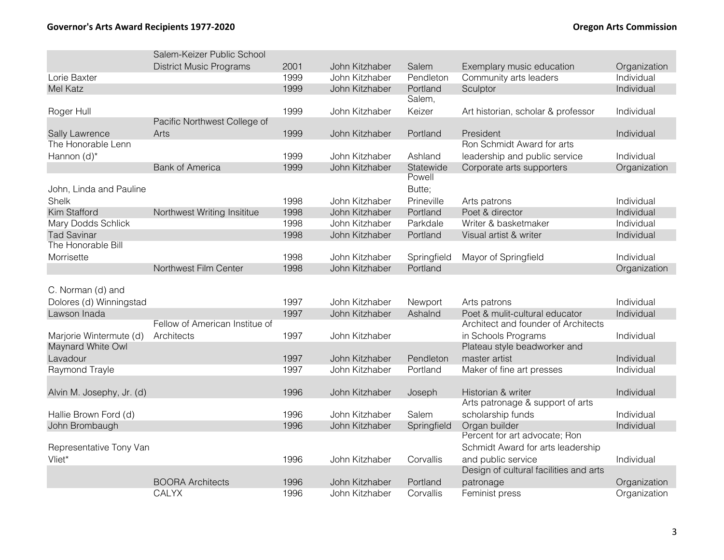|                           | Salem-Keizer Public School     |              |                |             |                                                        |                              |
|---------------------------|--------------------------------|--------------|----------------|-------------|--------------------------------------------------------|------------------------------|
|                           | <b>District Music Programs</b> | 2001         | John Kitzhaber | Salem       | Exemplary music education                              | Organization                 |
| Lorie Baxter              |                                | 1999         | John Kitzhaber | Pendleton   | Community arts leaders                                 | Individual                   |
| Mel Katz                  |                                | 1999         | John Kitzhaber | Portland    | Sculptor                                               | Individual                   |
|                           |                                |              |                | Salem,      |                                                        |                              |
| Roger Hull                |                                | 1999         | John Kitzhaber | Keizer      | Art historian, scholar & professor                     | Individual                   |
|                           | Pacific Northwest College of   |              |                |             |                                                        |                              |
| Sally Lawrence            | Arts                           | 1999         | John Kitzhaber | Portland    | President                                              | Individual                   |
| The Honorable Lenn        |                                |              |                |             | Ron Schmidt Award for arts                             |                              |
| Hannon (d)*               |                                | 1999         | John Kitzhaber | Ashland     | leadership and public service                          | Individual                   |
|                           | <b>Bank of America</b>         | 1999         | John Kitzhaber | Statewide   | Corporate arts supporters                              | Organization                 |
|                           |                                |              |                | Powell      |                                                        |                              |
| John, Linda and Pauline   |                                |              |                | Butte;      |                                                        |                              |
| Shelk                     |                                | 1998         | John Kitzhaber | Prineville  | Arts patrons                                           | Individual                   |
| Kim Stafford              | Northwest Writing Insititue    | 1998         | John Kitzhaber | Portland    | Poet & director                                        | Individual                   |
| Mary Dodds Schlick        |                                | 1998         | John Kitzhaber | Parkdale    | Writer & basketmaker                                   | Individual                   |
| <b>Tad Savinar</b>        |                                | 1998         | John Kitzhaber | Portland    | Visual artist & writer                                 | Individual                   |
| The Honorable Bill        |                                |              |                |             |                                                        |                              |
| Morrisette                |                                | 1998         | John Kitzhaber | Springfield | Mayor of Springfield                                   | Individual                   |
|                           | Northwest Film Center          | 1998         | John Kitzhaber | Portland    |                                                        | Organization                 |
|                           |                                |              |                |             |                                                        |                              |
| C. Norman (d) and         |                                |              |                |             |                                                        |                              |
| Dolores (d) Winningstad   |                                | 1997         | John Kitzhaber | Newport     | Arts patrons                                           | Individual                   |
| Lawson Inada              |                                | 1997         | John Kitzhaber | Ashalnd     | Poet & mulit-cultural educator                         | Individual                   |
|                           | Fellow of American Institue of |              |                |             | Architect and founder of Architects                    |                              |
| Marjorie Wintermute (d)   | Architects                     | 1997         | John Kitzhaber |             | in Schools Programs                                    | Individual                   |
| Maynard White Owl         |                                |              |                |             | Plateau style beadworker and                           |                              |
| Lavadour                  |                                | 1997         | John Kitzhaber | Pendleton   | master artist                                          | Individual                   |
| Raymond Trayle            |                                | 1997         | John Kitzhaber | Portland    | Maker of fine art presses                              | Individual                   |
|                           |                                |              |                |             |                                                        |                              |
| Alvin M. Josephy, Jr. (d) |                                | 1996         | John Kitzhaber | Joseph      | Historian & writer<br>Arts patronage & support of arts | Individual                   |
|                           |                                |              | John Kitzhaber | Salem       |                                                        |                              |
| Hallie Brown Ford (d)     |                                | 1996<br>1996 | John Kitzhaber |             | scholarship funds                                      | Individual<br>Individual     |
| John Brombaugh            |                                |              |                | Springfield | Organ builder<br>Percent for art advocate; Ron         |                              |
| Representative Tony Van   |                                |              |                |             | Schmidt Award for arts leadership                      |                              |
| Vliet*                    |                                | 1996         | John Kitzhaber |             | and public service                                     | Individual                   |
|                           |                                |              |                | Corvallis   | Design of cultural facilities and arts                 |                              |
|                           | <b>BOORA Architects</b>        | 1996         | John Kitzhaber | Portland    | patronage                                              |                              |
|                           | <b>CALYX</b>                   | 1996         | John Kitzhaber | Corvallis   | Feminist press                                         | Organization<br>Organization |
|                           |                                |              |                |             |                                                        |                              |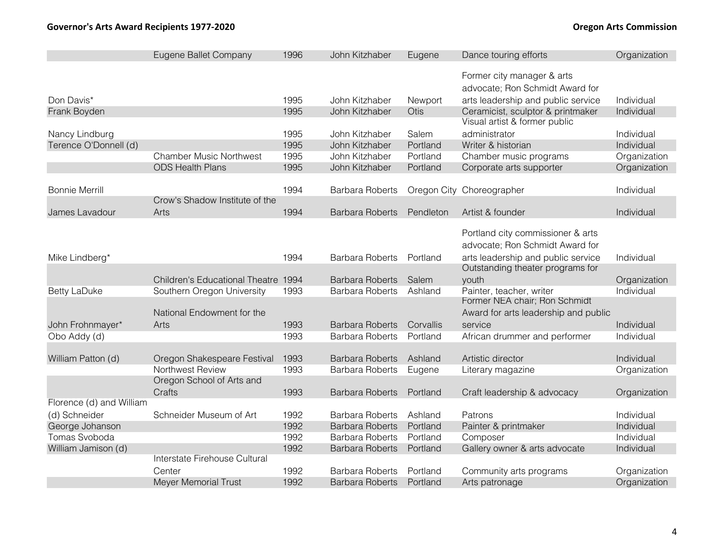|                          | Eugene Ballet Company                      | 1996 | John Kitzhaber         | Eugene    | Dance touring efforts                                                  | Organization |
|--------------------------|--------------------------------------------|------|------------------------|-----------|------------------------------------------------------------------------|--------------|
|                          |                                            |      |                        |           | Former city manager & arts                                             |              |
|                          |                                            |      |                        |           | advocate; Ron Schmidt Award for                                        |              |
| Don Davis*               |                                            | 1995 | John Kitzhaber         | Newport   | arts leadership and public service                                     | Individual   |
| Frank Boyden             |                                            | 1995 | John Kitzhaber         | Otis      | Ceramicist, sculptor & printmaker                                      | Individual   |
|                          |                                            |      |                        |           | Visual artist & former public                                          |              |
| Nancy Lindburg           |                                            | 1995 | John Kitzhaber         | Salem     | administrator                                                          | Individual   |
| Terence O'Donnell (d)    |                                            | 1995 | John Kitzhaber         | Portland  | Writer & historian                                                     | Individual   |
|                          | <b>Chamber Music Northwest</b>             | 1995 | John Kitzhaber         | Portland  | Chamber music programs                                                 | Organization |
|                          | <b>ODS Health Plans</b>                    | 1995 | John Kitzhaber         | Portland  | Corporate arts supporter                                               | Organization |
|                          |                                            |      |                        |           |                                                                        |              |
| <b>Bonnie Merrill</b>    |                                            | 1994 | <b>Barbara Roberts</b> |           | Oregon City Choreographer                                              | Individual   |
|                          | Crow's Shadow Institute of the             |      |                        |           |                                                                        |              |
| James Lavadour           | Arts                                       | 1994 | <b>Barbara Roberts</b> | Pendleton | Artist & founder                                                       | Individual   |
|                          |                                            |      |                        |           | Portland city commissioner & arts                                      |              |
|                          |                                            |      |                        |           | advocate; Ron Schmidt Award for                                        |              |
|                          |                                            |      |                        |           |                                                                        |              |
| Mike Lindberg*           |                                            | 1994 | <b>Barbara Roberts</b> | Portland  | arts leadership and public service<br>Outstanding theater programs for | Individual   |
|                          | <b>Children's Educational Theatre 1994</b> |      | <b>Barbara Roberts</b> | Salem     | youth                                                                  | Organization |
| <b>Betty LaDuke</b>      | Southern Oregon University                 | 1993 | <b>Barbara Roberts</b> | Ashland   | Painter, teacher, writer                                               | Individual   |
|                          |                                            |      |                        |           | Former NEA chair; Ron Schmidt                                          |              |
|                          | National Endowment for the                 |      |                        |           | Award for arts leadership and public                                   |              |
| John Frohnmayer*         | Arts                                       | 1993 | <b>Barbara Roberts</b> | Corvallis | service                                                                | Individual   |
| Obo Addy (d)             |                                            | 1993 | <b>Barbara Roberts</b> | Portland  | African drummer and performer                                          | Individual   |
|                          |                                            |      |                        |           |                                                                        |              |
| William Patton (d)       | Oregon Shakespeare Festival                | 1993 | <b>Barbara Roberts</b> | Ashland   | Artistic director                                                      | Individual   |
|                          | Northwest Review                           | 1993 | <b>Barbara Roberts</b> | Eugene    | Literary magazine                                                      | Organization |
|                          | Oregon School of Arts and                  |      |                        |           |                                                                        |              |
|                          | Crafts                                     | 1993 | <b>Barbara Roberts</b> | Portland  | Craft leadership & advocacy                                            | Organization |
| Florence (d) and William |                                            |      |                        |           |                                                                        |              |
| (d) Schneider            | Schneider Museum of Art                    | 1992 | <b>Barbara Roberts</b> | Ashland   | Patrons                                                                | Individual   |
| George Johanson          |                                            | 1992 | <b>Barbara Roberts</b> | Portland  | Painter & printmaker                                                   | Individual   |
| Tomas Svoboda            |                                            | 1992 | <b>Barbara Roberts</b> | Portland  | Composer                                                               | Individual   |
| William Jamison (d)      |                                            | 1992 | <b>Barbara Roberts</b> | Portland  | Gallery owner & arts advocate                                          | Individual   |
|                          | Interstate Firehouse Cultural              |      |                        |           |                                                                        |              |
|                          | Center                                     | 1992 | <b>Barbara Roberts</b> | Portland  | Community arts programs                                                | Organization |
|                          | <b>Meyer Memorial Trust</b>                | 1992 | <b>Barbara Roberts</b> | Portland  | Arts patronage                                                         | Organization |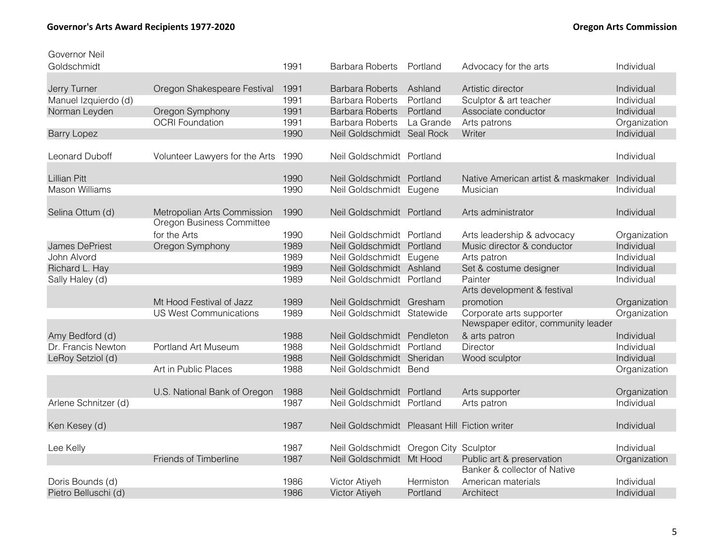| Governor Neil         |                                                          |      |                                               |                      |                                    |                            |
|-----------------------|----------------------------------------------------------|------|-----------------------------------------------|----------------------|------------------------------------|----------------------------|
| Goldschmidt           |                                                          | 1991 | <b>Barbara Roberts</b>                        | Portland             | Advocacy for the arts              | Individual                 |
|                       |                                                          |      |                                               |                      |                                    |                            |
| Jerry Turner          | Oregon Shakespeare Festival                              | 1991 | <b>Barbara Roberts</b>                        | Ashland              | Artistic director                  | Individual                 |
| Manuel Izquierdo (d)  |                                                          | 1991 | <b>Barbara Roberts</b>                        | Portland             | Sculptor & art teacher             | Individual                 |
| Norman Leyden         | Oregon Symphony                                          | 1991 | <b>Barbara Roberts</b>                        | Portland             | Associate conductor                | Individual                 |
|                       | <b>OCRI Foundation</b>                                   | 1991 | <b>Barbara Roberts</b>                        | La Grande            | Arts patrons                       | Organization               |
| <b>Barry Lopez</b>    |                                                          | 1990 | Neil Goldschmidt Seal Rock                    |                      | Writer                             | Individual                 |
| <b>Leonard Duboff</b> | Volunteer Lawyers for the Arts                           | 1990 | Neil Goldschmidt Portland                     |                      |                                    | Individual                 |
|                       |                                                          |      |                                               |                      |                                    |                            |
| <b>Lillian Pitt</b>   |                                                          | 1990 | Neil Goldschmidt Portland                     |                      | Native American artist & maskmaker | Individual                 |
| <b>Mason Williams</b> |                                                          | 1990 | Neil Goldschmidt Eugene                       |                      | Musician                           | Individual                 |
|                       |                                                          |      |                                               |                      |                                    |                            |
| Selina Ottum (d)      | Metropolian Arts Commission<br>Oregon Business Committee | 1990 | Neil Goldschmidt Portland                     |                      | Arts administrator                 | Individual                 |
|                       | for the Arts                                             |      |                                               |                      |                                    |                            |
|                       |                                                          | 1990 | Neil Goldschmidt Portland                     |                      | Arts leadership & advocacy         | Organization               |
| James DePriest        | Oregon Symphony                                          | 1989 | Neil Goldschmidt Portland                     |                      | Music director & conductor         | Individual                 |
| John Alvord           |                                                          | 1989 | Neil Goldschmidt Eugene                       |                      | Arts patron                        | Individual                 |
| Richard L. Hay        |                                                          | 1989 | Neil Goldschmidt Ashland                      |                      | Set & costume designer             | Individual                 |
| Sally Haley (d)       |                                                          | 1989 | Neil Goldschmidt Portland                     |                      | Painter                            | Individual                 |
|                       |                                                          |      |                                               |                      | Arts development & festival        |                            |
|                       | Mt Hood Festival of Jazz                                 | 1989 | Neil Goldschmidt Gresham                      |                      | promotion                          | Organization               |
|                       | <b>US West Communications</b>                            | 1989 | Neil Goldschmidt Statewide                    |                      | Corporate arts supporter           | Organization               |
|                       |                                                          |      |                                               |                      | Newspaper editor, community leader |                            |
| Amy Bedford (d)       |                                                          | 1988 | Neil Goldschmidt Pendleton                    |                      | & arts patron                      | Individual                 |
| Dr. Francis Newton    | Portland Art Museum                                      | 1988 | Neil Goldschmidt Portland                     |                      | Director                           | Individual                 |
| LeRoy Setziol (d)     |                                                          | 1988 | Neil Goldschmidt Sheridan                     |                      | Wood sculptor                      | Individual                 |
|                       | Art in Public Places                                     | 1988 | Neil Goldschmidt Bend                         |                      |                                    | Organization               |
|                       | U.S. National Bank of Oregon                             | 1988 | Neil Goldschmidt Portland                     |                      |                                    |                            |
|                       |                                                          | 1987 |                                               |                      | Arts supporter                     | Organization<br>Individual |
| Arlene Schnitzer (d)  |                                                          |      | Neil Goldschmidt Portland                     |                      | Arts patron                        |                            |
| Ken Kesey (d)         |                                                          | 1987 | Neil Goldschmidt Pleasant Hill Fiction writer |                      |                                    | Individual                 |
|                       |                                                          | 1987 | Neil Goldschmidt                              |                      |                                    | Individual                 |
| Lee Kelly             | Friends of Timberline                                    | 1987 | Neil Goldschmidt Mt Hood                      | Oregon City Sculptor | Public art & preservation          |                            |
|                       |                                                          |      |                                               |                      | Banker & collector of Native       | Organization               |
|                       |                                                          | 1986 | Victor Atiyeh                                 |                      |                                    | Individual                 |
| Doris Bounds (d)      |                                                          |      |                                               | Hermiston            | American materials                 |                            |
| Pietro Belluschi (d)  |                                                          | 1986 | <b>Victor Atiyeh</b>                          | Portland             | Architect                          | Individual                 |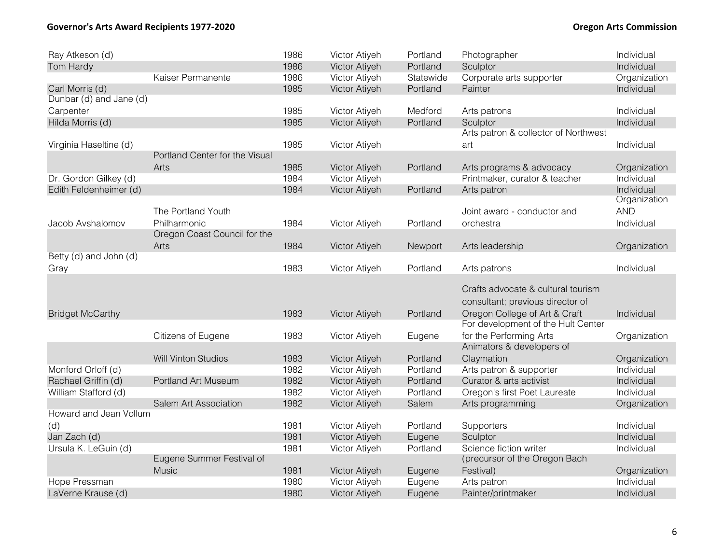# **Governor's Arts Award Recipients 1977-2020 Oregon Arts Commission**

| Ray Atkeson (d)         |                                | 1986 | Victor Atiyeh | Portland  | Photographer                         | Individual   |
|-------------------------|--------------------------------|------|---------------|-----------|--------------------------------------|--------------|
| Tom Hardy               |                                | 1986 | Victor Atiyeh | Portland  | Sculptor                             | Individual   |
|                         | Kaiser Permanente              | 1986 | Victor Atiyeh | Statewide | Corporate arts supporter             | Organization |
| Carl Morris (d)         |                                | 1985 | Victor Atiyeh | Portland  | Painter                              | Individual   |
| Dunbar (d) and Jane (d) |                                |      |               |           |                                      |              |
| Carpenter               |                                | 1985 | Victor Atiyeh | Medford   | Arts patrons                         | Individual   |
| Hilda Morris (d)        |                                | 1985 | Victor Atiyeh | Portland  | Sculptor                             | Individual   |
|                         |                                |      |               |           | Arts patron & collector of Northwest |              |
| Virginia Haseltine (d)  |                                | 1985 | Victor Atiyeh |           | art                                  | Individual   |
|                         | Portland Center for the Visual |      |               |           |                                      |              |
|                         | Arts                           | 1985 | Victor Atiyeh | Portland  | Arts programs & advocacy             | Organization |
| Dr. Gordon Gilkey (d)   |                                | 1984 | Victor Atiyeh |           | Printmaker, curator & teacher        | Individual   |
| Edith Feldenheimer (d)  |                                | 1984 | Victor Atiyeh | Portland  | Arts patron                          | Individual   |
|                         |                                |      |               |           |                                      | Organization |
|                         | The Portland Youth             |      |               |           | Joint award - conductor and          | <b>AND</b>   |
| Jacob Avshalomov        | Philharmonic                   | 1984 | Victor Atiyeh | Portland  | orchestra                            | Individual   |
|                         | Oregon Coast Council for the   |      |               |           |                                      |              |
|                         | Arts                           | 1984 | Victor Atiyeh | Newport   | Arts leadership                      | Organization |
| Betty (d) and John (d)  |                                |      |               |           |                                      |              |
| Gray                    |                                | 1983 | Victor Atiyeh | Portland  | Arts patrons                         | Individual   |
|                         |                                |      |               |           |                                      |              |
|                         |                                |      |               |           | Crafts advocate & cultural tourism   |              |
|                         |                                |      |               |           | consultant; previous director of     |              |
| <b>Bridget McCarthy</b> |                                | 1983 | Victor Atiyeh | Portland  | Oregon College of Art & Craft        | Individual   |
|                         |                                |      |               |           | For development of the Hult Center   |              |
|                         | Citizens of Eugene             | 1983 | Victor Atiyeh | Eugene    | for the Performing Arts              | Organization |
|                         |                                |      |               |           | Animators & developers of            |              |
|                         | <b>Will Vinton Studios</b>     | 1983 | Victor Atiyeh | Portland  | Claymation                           | Organization |
| Monford Orloff (d)      |                                | 1982 | Victor Atiyeh | Portland  | Arts patron & supporter              | Individual   |
| Rachael Griffin (d)     | Portland Art Museum            | 1982 | Victor Atiyeh | Portland  | Curator & arts activist              | Individual   |
| William Stafford (d)    |                                | 1982 | Victor Atiyeh | Portland  | Oregon's first Poet Laureate         | Individual   |
|                         | Salem Art Association          | 1982 | Victor Atiyeh | Salem     | Arts programming                     | Organization |
| Howard and Jean Vollum  |                                |      |               |           |                                      |              |
| (d)                     |                                | 1981 | Victor Atiyeh | Portland  | Supporters                           | Individual   |
| Jan Zach (d)            |                                | 1981 | Victor Atiyeh | Eugene    | Sculptor                             | Individual   |
| Ursula K. LeGuin (d)    |                                | 1981 | Victor Atiyeh | Portland  | Science fiction writer               | Individual   |
|                         | Eugene Summer Festival of      |      |               |           | (precursor of the Oregon Bach        |              |
|                         | Music                          | 1981 | Victor Atiyeh | Eugene    | Festival)                            | Organization |
| Hope Pressman           |                                | 1980 | Victor Atiyeh | Eugene    | Arts patron                          | Individual   |
| LaVerne Krause (d)      |                                | 1980 | Victor Atiyeh | Eugene    | Painter/printmaker                   | Individual   |